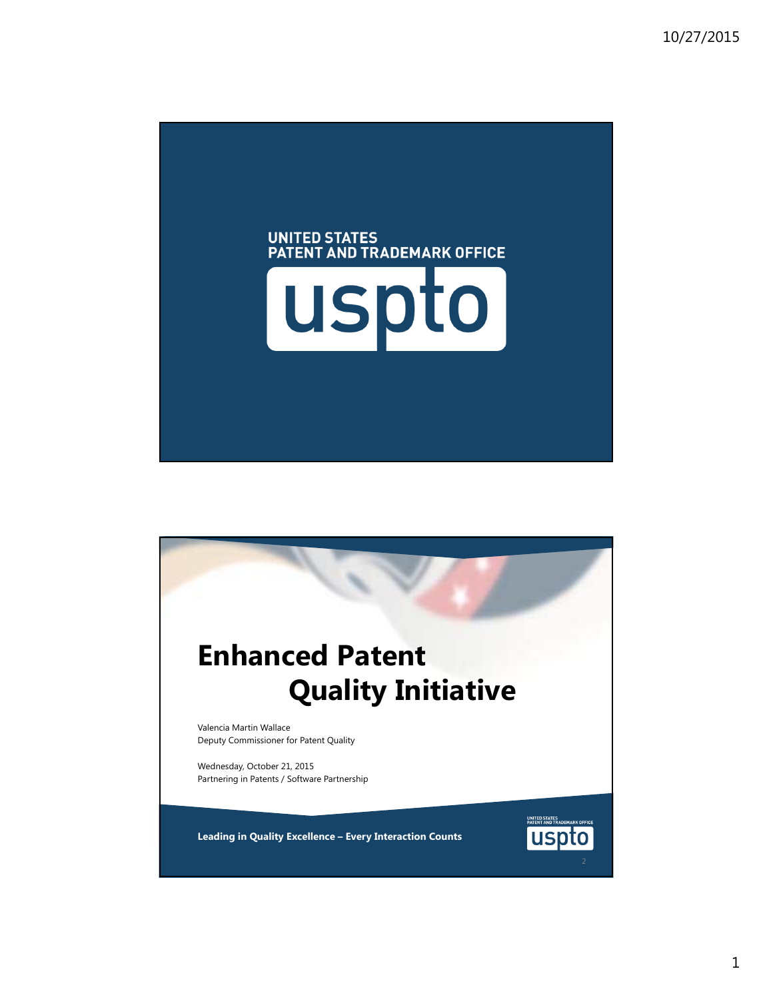

## **Enhanced Patent Quality Initiative**

Valencia Martin Wallace Deputy Commissioner for Patent Quality

Wednesday, October 21, 2015 Partnering in Patents / Software Partnership

**Leading in Quality Excellence – Every Interaction Counts**

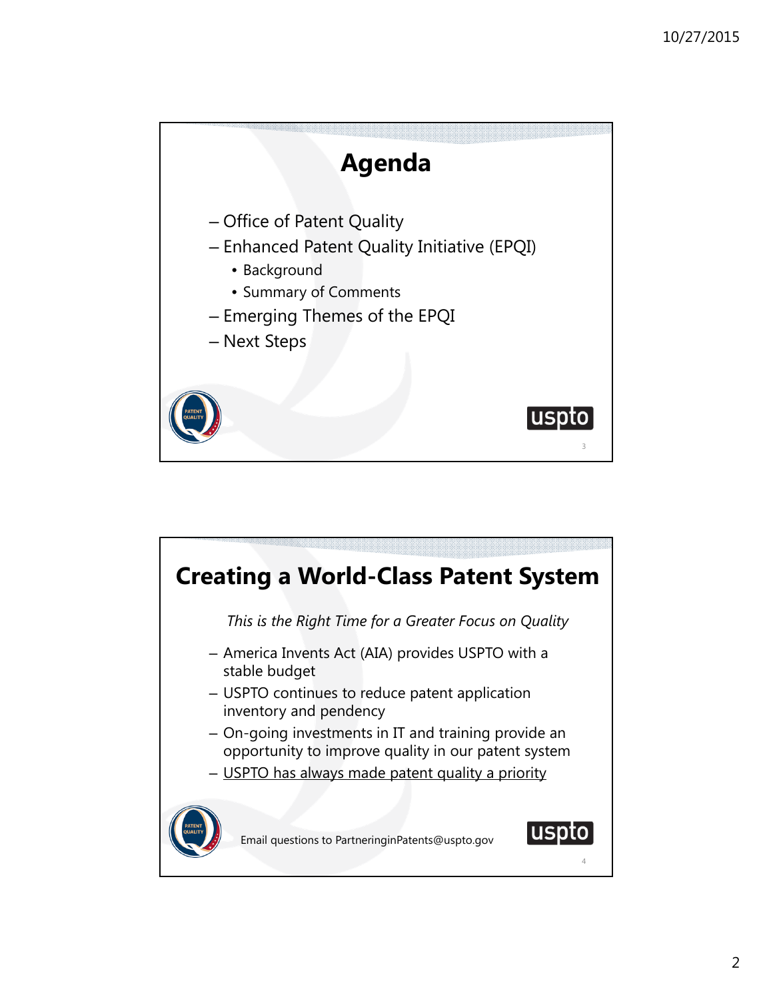

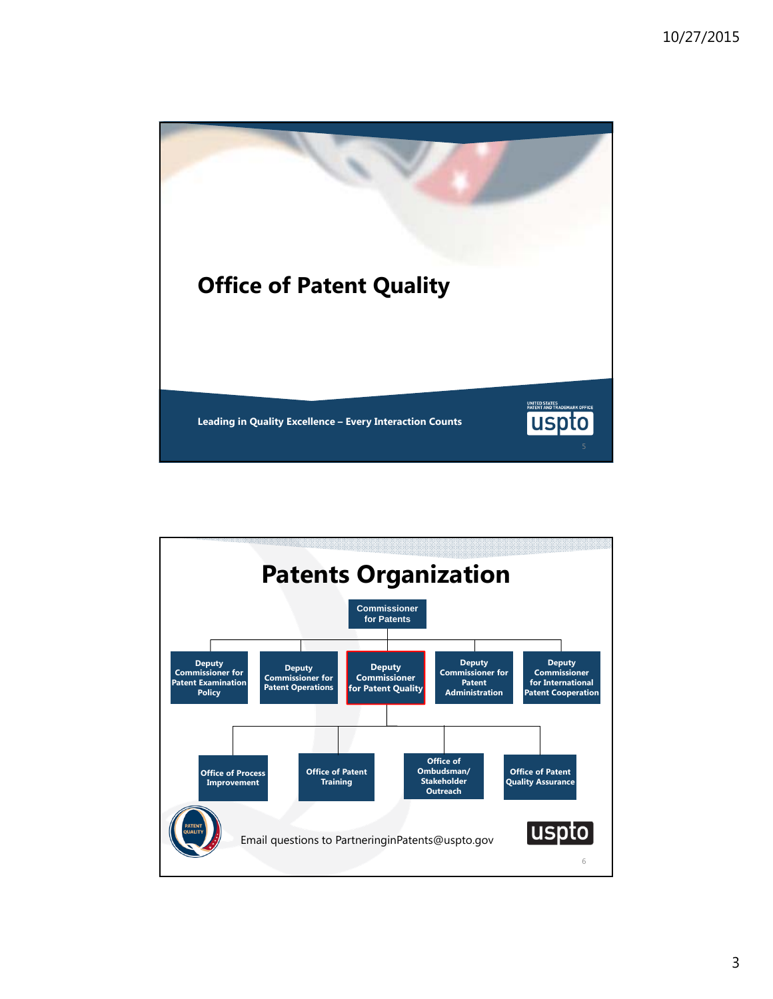

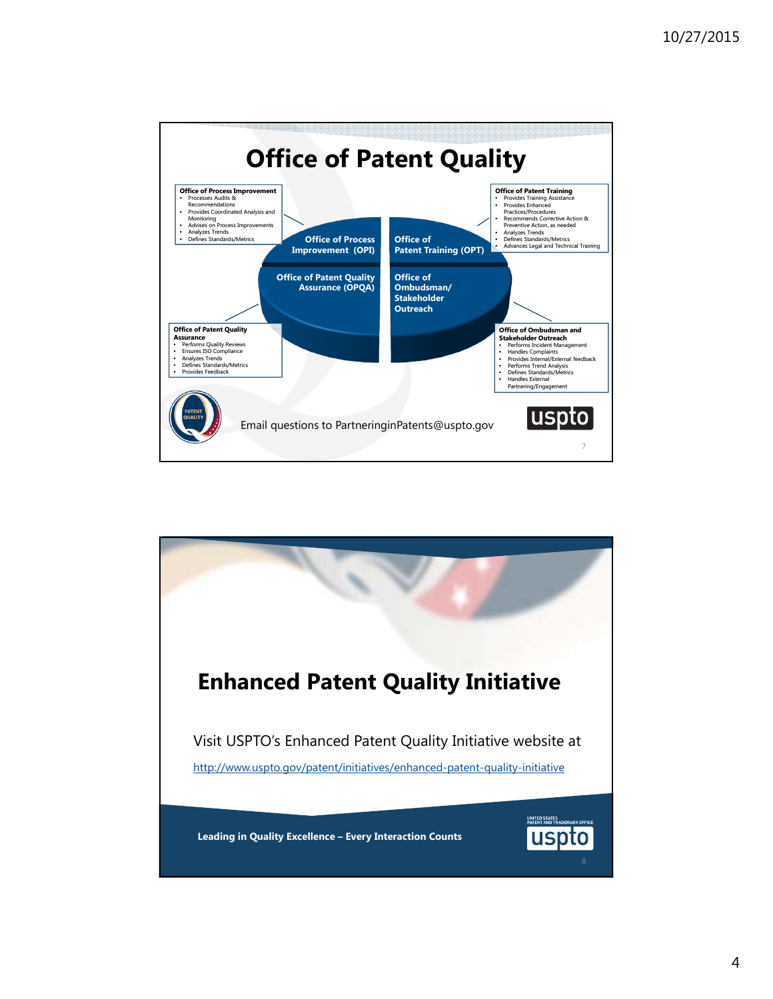

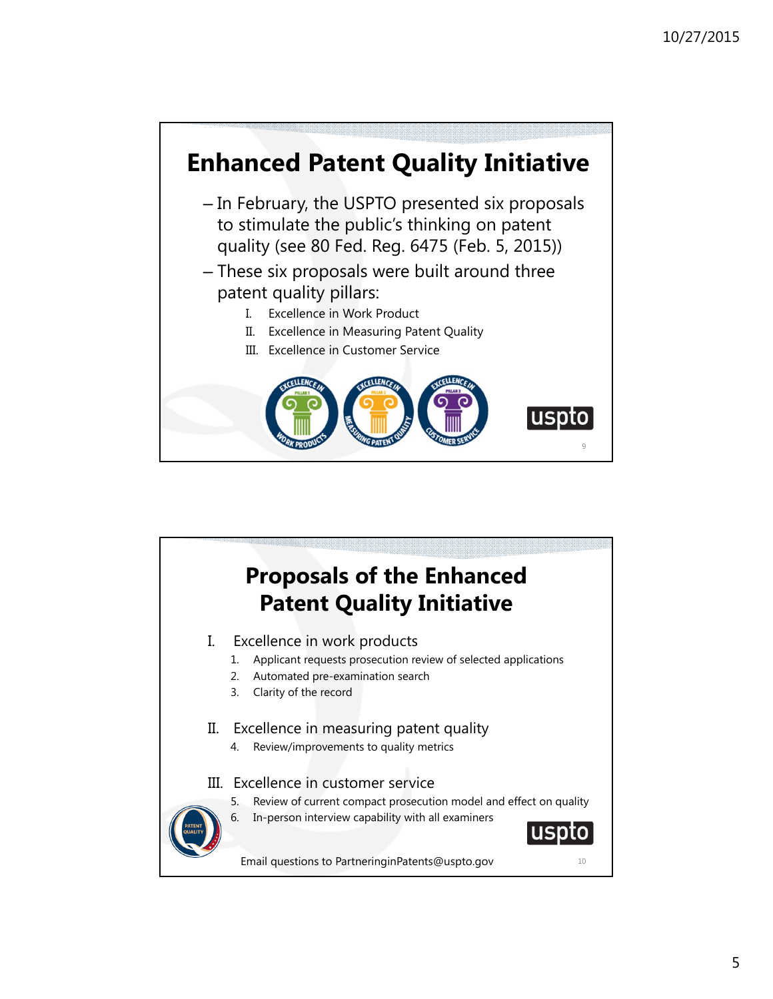

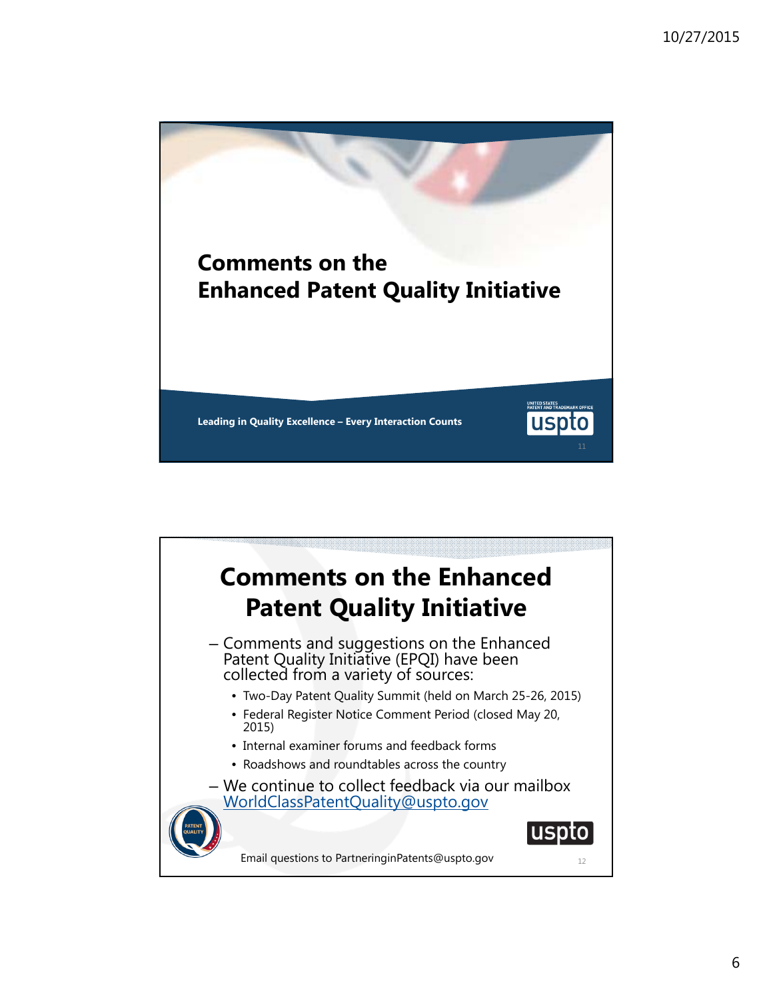

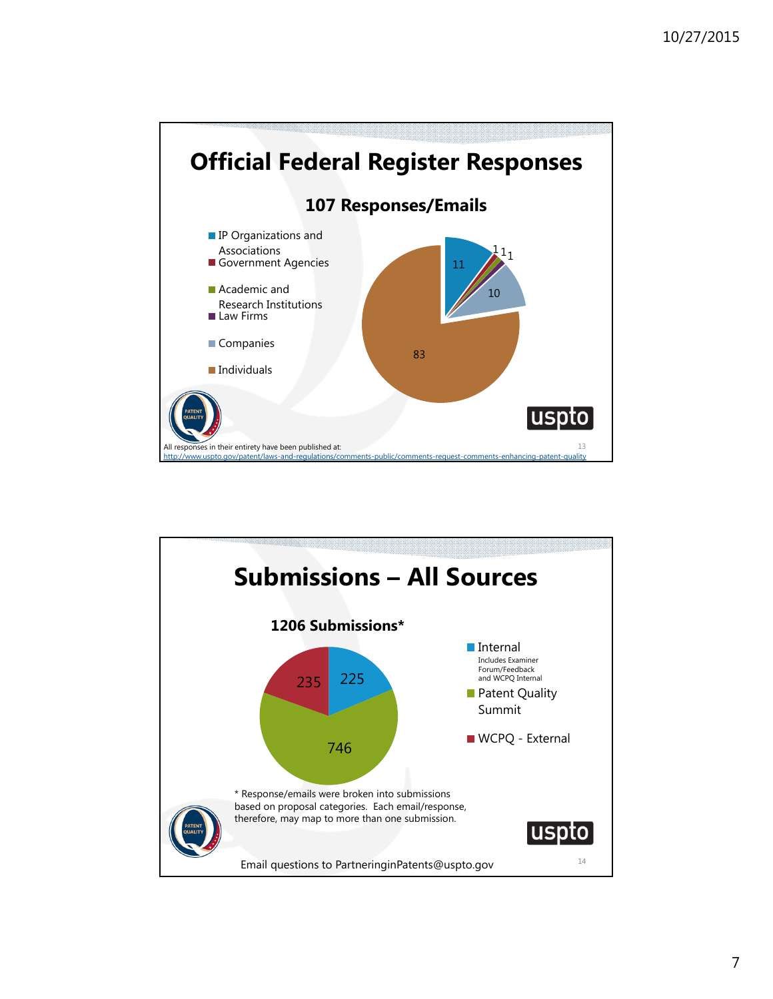

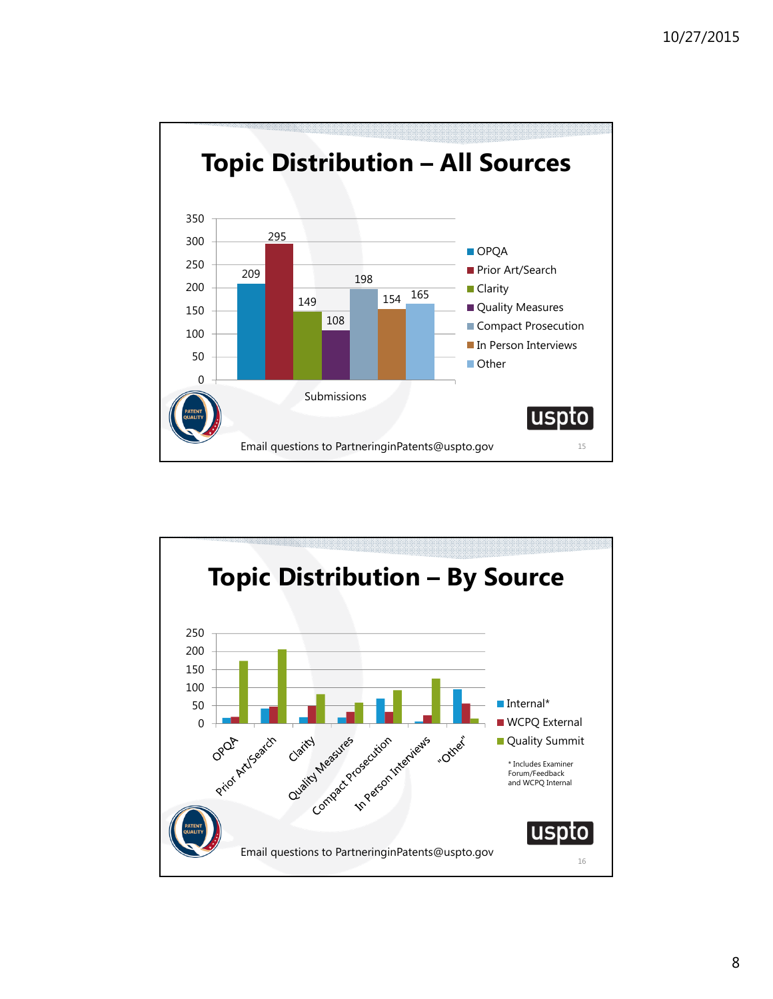

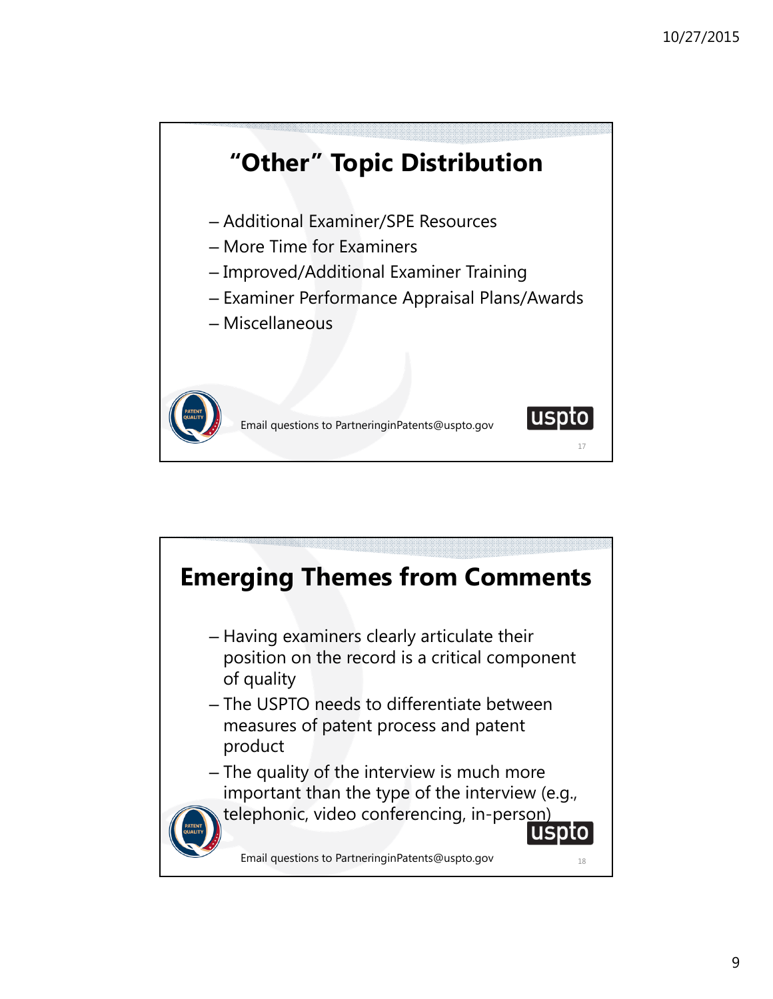